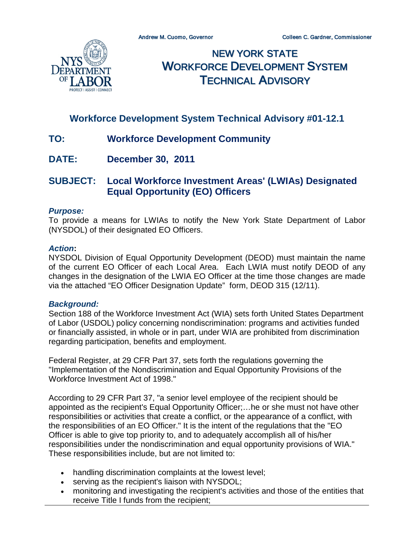

NEW YORK STATE WORKFORCE DEVELOPMENT SYSTEM TECHNICAL ADVISORY

# **Workforce Development System Technical Advisory #01-12.1**

- **TO: Workforce Development Community**
- **DATE: December 30, 2011**

# **SUBJECT: Local Workforce Investment Areas' (LWIAs) Designated Equal Opportunity (EO) Officers**

#### *Purpose:*

To provide a means for LWIAs to notify the New York State Department of Labor (NYSDOL) of their designated EO Officers.

#### *Action***:**

NYSDOL Division of Equal Opportunity Development (DEOD) must maintain the name of the current EO Officer of each Local Area. Each LWIA must notify DEOD of any changes in the designation of the LWIA EO Officer at the time those changes are made via the attached "EO Officer Designation Update" form, DEOD 315 (12/11).

#### *Background:*

Section 188 of the Workforce Investment Act (WIA) sets forth United States Department of Labor (USDOL) policy concerning nondiscrimination: programs and activities funded or financially assisted, in whole or in part, under WIA are prohibited from discrimination regarding participation, benefits and employment.

Federal Register, at 29 CFR Part 37, sets forth the regulations governing the "Implementation of the Nondiscrimination and Equal Opportunity Provisions of the Workforce Investment Act of 1998."

According to 29 CFR Part 37, "a senior level employee of the recipient should be appointed as the recipient's Equal Opportunity Officer;…he or she must not have other responsibilities or activities that create a conflict, or the appearance of a conflict, with the responsibilities of an EO Officer." It is the intent of the regulations that the "EO Officer is able to give top priority to, and to adequately accomplish all of his/her responsibilities under the nondiscrimination and equal opportunity provisions of WIA." These responsibilities include, but are not limited to:

- handling discrimination complaints at the lowest level;
- serving as the recipient's liaison with NYSDOL;
- monitoring and investigating the recipient's activities and those of the entities that receive Title I funds from the recipient;